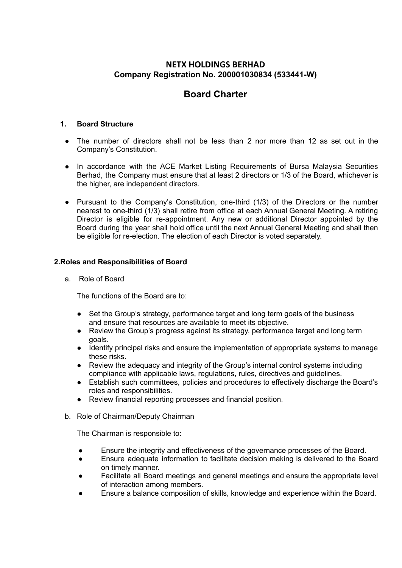## **NETX HOLDINGS BERHAD Company Registration No. 200001030834 (533441-W)**

# **Board Charter**

### **1. Board Structure**

- The number of directors shall not be less than 2 nor more than 12 as set out in the Company's Constitution.
- In accordance with the ACE Market Listing Requirements of Bursa Malaysia Securities Berhad, the Company must ensure that at least 2 directors or 1/3 of the Board, whichever is the higher, are independent directors.
- Pursuant to the Company's Constitution, one-third (1/3) of the Directors or the number nearest to one-third (1/3) shall retire from office at each Annual General Meeting. A retiring Director is eligible for re-appointment. Any new or additional Director appointed by the Board during the year shall hold office until the next Annual General Meeting and shall then be eligible for re-election. The election of each Director is voted separately.

#### **2.Roles and Responsibilities of Board**

a. Role of Board

The functions of the Board are to:

- Set the Group's strategy, performance target and long term goals of the business and ensure that resources are available to meet its objective.
- Review the Group's progress against its strategy, performance target and long term goals.
- Identify principal risks and ensure the implementation of appropriate systems to manage these risks.
- Review the adequacy and integrity of the Group's internal control systems including compliance with applicable laws, regulations, rules, directives and guidelines.
- Establish such committees, policies and procedures to effectively discharge the Board's roles and responsibilities.
- Review financial reporting processes and financial position.
- b. Role of Chairman/Deputy Chairman

The Chairman is responsible to:

- Ensure the integrity and effectiveness of the governance processes of the Board.
- Ensure adequate information to facilitate decision making is delivered to the Board on timely manner.
- Facilitate all Board meetings and general meetings and ensure the appropriate level of interaction among members.
- Ensure a balance composition of skills, knowledge and experience within the Board.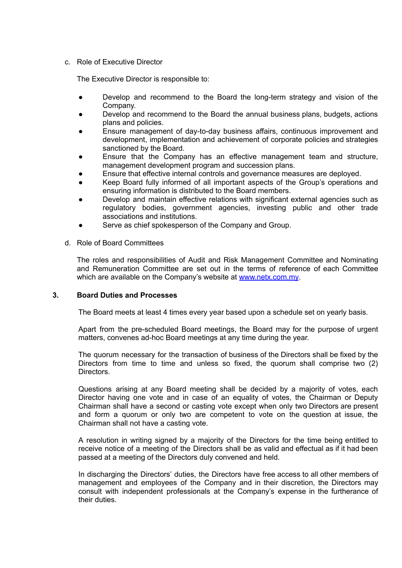c. Role of Executive Director

The Executive Director is responsible to:

- Develop and recommend to the Board the long-term strategy and vision of the Company.
- Develop and recommend to the Board the annual business plans, budgets, actions plans and policies.
- Ensure management of day-to-day business affairs, continuous improvement and development, implementation and achievement of corporate policies and strategies sanctioned by the Board.
- Ensure that the Company has an effective management team and structure, management development program and succession plans.
- Ensure that effective internal controls and governance measures are deployed.
- Keep Board fully informed of all important aspects of the Group's operations and ensuring information is distributed to the Board members.
- Develop and maintain effective relations with significant external agencies such as regulatory bodies, government agencies, investing public and other trade associations and institutions.
- Serve as chief spokesperson of the Company and Group.
- d. Role of Board Committees

The roles and responsibilities of Audit and Risk Management Committee and Nominating and Remuneration Committee are set out in the terms of reference of each Committee which are available on the Company's website at [www.netx.com.my](http://www.ariantec.com).

#### **3. Board Duties and Processes**

The Board meets at least 4 times every year based upon a schedule set on yearly basis.

Apart from the pre-scheduled Board meetings, the Board may for the purpose of urgent matters, convenes ad-hoc Board meetings at any time during the year.

The quorum necessary for the transaction of business of the Directors shall be fixed by the Directors from time to time and unless so fixed, the quorum shall comprise two (2) Directors.

Questions arising at any Board meeting shall be decided by a majority of votes, each Director having one vote and in case of an equality of votes, the Chairman or Deputy Chairman shall have a second or casting vote except when only two Directors are present and form a quorum or only two are competent to vote on the question at issue, the Chairman shall not have a casting vote.

A resolution in writing signed by a majority of the Directors for the time being entitled to receive notice of a meeting of the Directors shall be as valid and effectual as if it had been passed at a meeting of the Directors duly convened and held.

In discharging the Directors' duties, the Directors have free access to all other members of management and employees of the Company and in their discretion, the Directors may consult with independent professionals at the Company's expense in the furtherance of their duties.